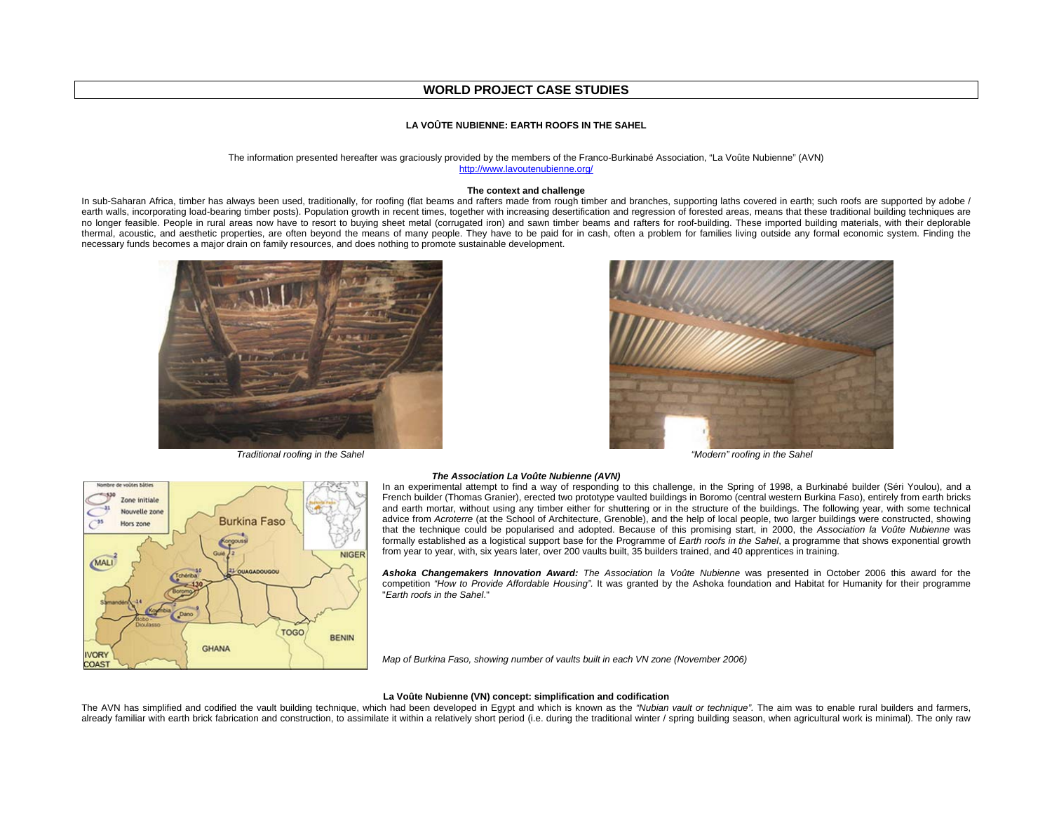# **WORLD PROJECT CASE STUDIES**

# **LA VOÛTE NUBIENNE: EARTH ROOFS IN THE SAHEL**

#### The information presented hereafter was graciously provided by the members of the Franco-Burkinabé Association, "La Voûte Nubienne" (AVN) http://www.lavoutenubienne.org/

### **The context and challenge**

In sub-Saharan Africa, timber has always been used, traditionally, for roofing (flat beams and rafters made from rough timber and branches, supporting laths covered in earth; such roofs are supported by adobe / earth walls, incorporating load-bearing timber posts). Population growth in recent times, together with increasing desertification and regression of forested areas, means that these traditional building techniques are no longer feasible. People in rural areas now have to resort to buying sheet metal (corrugated iron) and sawn timber beams and rafters for roof-building. These imported building materials, with their deplorable thermal, acoustic, and aesthetic properties, are often beyond the means of many people. They have to be paid for in cash, often a problem for families living outside any formal economic system. Finding the necessary funds becomes a major drain on family resources, and does nothing to promote sustainable development.



*Traditional roofing in the Sahel "Modern" roofing in the Sahel*





### *The Association La Voûte Nubienne (AVN)*

In an experimental attempt to find a way of responding to this challenge, in the Spring of 1998, a Burkinabé builder (Séri Youlou), and a French builder (Thomas Granier), erected two prototype vaulted buildings in Boromo (central western Burkina Faso), entirely from earth bricks and earth mortar, without using any timber either for shuttering or in the structure of the buildings. The following year, with some technical advice from *Acroterre* (at the School of Architecture, Grenoble), and the help of local people, two larger buildings were constructed, showing that the technique could be popularised and adopted. Because of this promising start, in 2000, the *Association la Voûte Nubienne* was formally established as a logistical support base for the Programme of *Earth roofs in the Sahel*, a programme that shows exponential growth from year to year, with, six years later, over 200 vaults built, 35 builders trained, and 40 apprentices in training.

*Ashoka Changemakers Innovation Award: The Association la Voûte Nubienne* was presented in October 2006 this award for the competition *"How to Provide Affordable Housing".* It was granted by the Ashoka foundation and Habitat for Humanity for their programme "*Earth roofs in the Sahel*."

*Map of Burkina Faso, showing number of vaults built in each VN zone (November 2006)* 

#### **La Voûte Nubienne (VN) concept: simplification and codification**

The AVN has simplified and codified the vault building technique, which had been developed in Egypt and which is known as the *"Nubian vault or technique".* The aim was to enable rural builders and farmers, already familiar with earth brick fabrication and construction, to assimilate it within a relatively short period (i.e. during the traditional winter / spring building season, when agricultural work is minimal). The only raw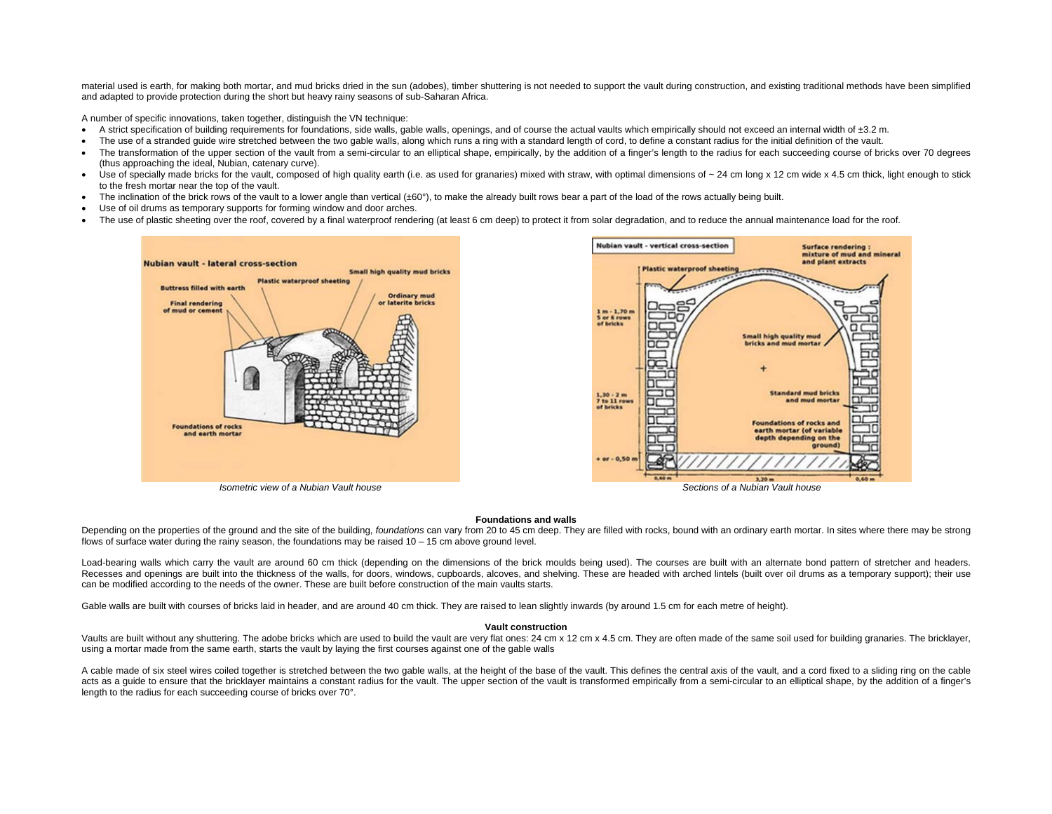material used is earth, for making both mortar, and mud bricks dried in the sun (adobes), timber shuttering is not needed to support the vault during construction, and existing traditional methods have been simplified and adapted to provide protection during the short but heavy rainy seasons of sub-Saharan Africa.

A number of specific innovations, taken together, distinguish the VN technique:

- $\bullet$  A strict specification of building requirements for foundations, side walls, gable walls, openings, and of course the actual vaults which empirically should not exceed an internal width of  $\pm 3.2$  m.
- The use of a stranded quide wire stretched between the two gable walls, along which runs a ring with a standard length of cord, to define a constant radius for the initial definition of the vault.
- The transformation of the upper section of the vault from a semi-circular to an elliptical shape, empirically, by the addition of a finger's length to the radius for each succeeding course of bricks over 70 degrees (thus approaching the ideal, Nubian, catenary curve).
- Use of specially made bricks for the vault, composed of high quality earth (i.e. as used for granaries) mixed with straw, with optimal dimensions of ~ 24 cm long x 12 cm wide x 4.5 cm thick, light enough to stick to the fresh mortar near the top of the vault.
- The inclination of the brick rows of the vault to a lower angle than vertical  $(±60^{\circ})$ , to make the already built rows bear a part of the load of the rows actually being built.
- Use of oil drums as temporary supports for forming window and door arches.
- The use of plastic sheeting over the roof, covered by a final waterproof rendering (at least 6 cm deep) to protect it from solar degradation, and to reduce the annual maintenance load for the roof.



#### **Foundations and walls**

Depending on the properties of the ground and the site of the building, *foundations* can vary from 20 to 45 cm deep. They are filled with rocks, bound with an ordinary earth mortar. In sites where there may be strong flows of surface water during the rainy season, the foundations may be raised  $10 - 15$  cm above ground level.

Load-bearing walls which carry the vault are around 60 cm thick (depending on the dimensions of the brick moulds being used). The courses are built with an alternate bond pattern of stretcher and headers. Recesses and openings are built into the thickness of the walls, for doors, windows, cupboards, alcoves, and shelving. These are headed with arched lintels (built over oil drums as a temporary support); their use can be modified according to the needs of the owner. These are built before construction of the main vaults starts.

Gable walls are built with courses of bricks laid in header, and are around 40 cm thick. They are raised to lean slightly inwards (by around 1.5 cm for each metre of height).

#### **Vault construction**

Vaults are built without any shuttering. The adobe bricks which are used to build the vault are very flat ones: 24 cm x 12 cm x 4.5 cm. They are often made of the same soil used for building granaries. The bricklayer, using a mortar made from the same earth, starts the vault by laying the first courses against one of the gable walls

A cable made of six steel wires coiled together is stretched between the two gable walls, at the height of the base of the vault. This defines the central axis of the vault, and a cord fixed to a sliding ring on the cable acts as a guide to ensure that the bricklayer maintains a constant radius for the vault. The upper section of the vault is transformed empirically from a semi-circular to an elliptical shape, by the addition of a finger's length to the radius for each succeeding course of bricks over 70°.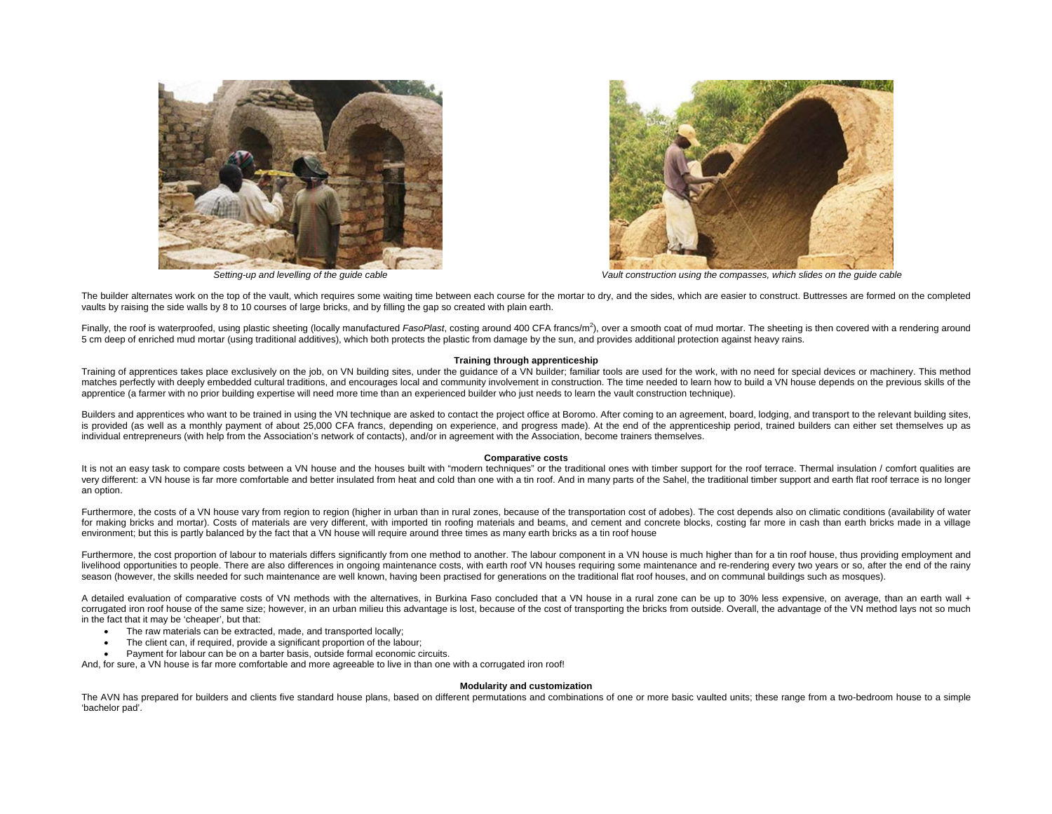



*Setting-up and levelling of the guide cable Vault construction using the compasses, which slides on the guide cable*

The builder alternates work on the top of the vault, which requires some waiting time between each course for the mortar to dry, and the sides, which are easier to construct. Buttresses are formed on the completed vaults by raising the side walls by 8 to 10 courses of large bricks, and by filling the gap so created with plain earth.

Finally, the roof is waterproofed, using plastic sheeting (locally manufactured *FasoPlast,* costing around 400 CFA francs/m<sup>2</sup>), over a smooth coat of mud mortar. The sheeting is then covered with a rendering around 5 cm deep of enriched mud mortar (using traditional additives), which both protects the plastic from damage by the sun, and provides additional protection against heavy rains.

## **Training through apprenticeship**

Training of apprentices takes place exclusively on the job, on VN building sites, under the quidance of a VN builder; familiar tools are used for the work, with no need for special devices or machinery. This method matches perfectly with deeply embedded cultural traditions, and encourages local and community involvement in construction. The time needed to learn how to build a VN house depends on the previous skills of the apprentice (a farmer with no prior building expertise will need more time than an experienced builder who just needs to learn the vault construction technique).

Builders and apprentices who want to be trained in using the VN technique are asked to contact the project office at Boromo. After coming to an agreement, board, lodging, and transport to the relevant building sites, is provided (as well as a monthly payment of about 25,000 CFA francs, depending on experience, and progress made). At the end of the apprenticeship period, trained builders can either set themselves up as individual entrepreneurs (with help from the Association's network of contacts), and/or in agreement with the Association, become trainers themselves.

### **Comparative costs**

It is not an easy task to compare costs between a VN house and the houses built with "modern techniques" or the traditional ones with timber support for the roof terrace. Thermal insulation / comfort qualities are very different: a VN house is far more comfortable and better insulated from heat and cold than one with a tin roof. And in many parts of the Sahel, the traditional timber support and earth flat roof terrace is no longer an option.

Furthermore, the costs of a VN house vary from region to region (higher in urban than in rural zones, because of the transportation cost of adobes). The cost depends also on climatic conditions (availability of water for making bricks and mortar). Costs of materials are very different, with imported tin roofing materials and beams, and cement and concrete blocks, costing far more in cash than earth bricks made in a village environment; but this is partly balanced by the fact that a VN house will require around three times as many earth bricks as a tin roof house

Furthermore, the cost proportion of labour to materials differs significantly from one method to another. The labour component in a VN house is much higher than for a tin roof house, thus providing employment and livelihood opportunities to people. There are also differences in ongoing maintenance costs, with earth roof VN houses requiring some maintenance and re-rendering every two years or so, after the end of the rainy season (however, the skills needed for such maintenance are well known, having been practised for generations on the traditional flat roof houses, and on communal buildings such as mosques).

A detailed evaluation of comparative costs of VN methods with the alternatives, in Burkina Faso concluded that a VN house in a rural zone can be up to 30% less expensive, on average, than an earth wall + corrugated iron roof house of the same size; however, in an urban milieu this advantage is lost, because of the cost of transporting the bricks from outside. Overall, the advantage of the VN method lays not so much in the fact that it may be 'cheaper', but that:

- The raw materials can be extracted, made, and transported locally;
- The client can, if required, provide a significant proportion of the labour;
- Payment for labour can be on a barter basis, outside formal economic circuits.

And, for sure, a VN house is far more comfortable and more agreeable to live in than one with a corrugated iron roof!

# **Modularity and customization**

The AVN has prepared for builders and clients five standard house plans, based on different permutations and combinations of one or more basic vaulted units; these range from a two-bedroom house to a simple 'bachelor pad'.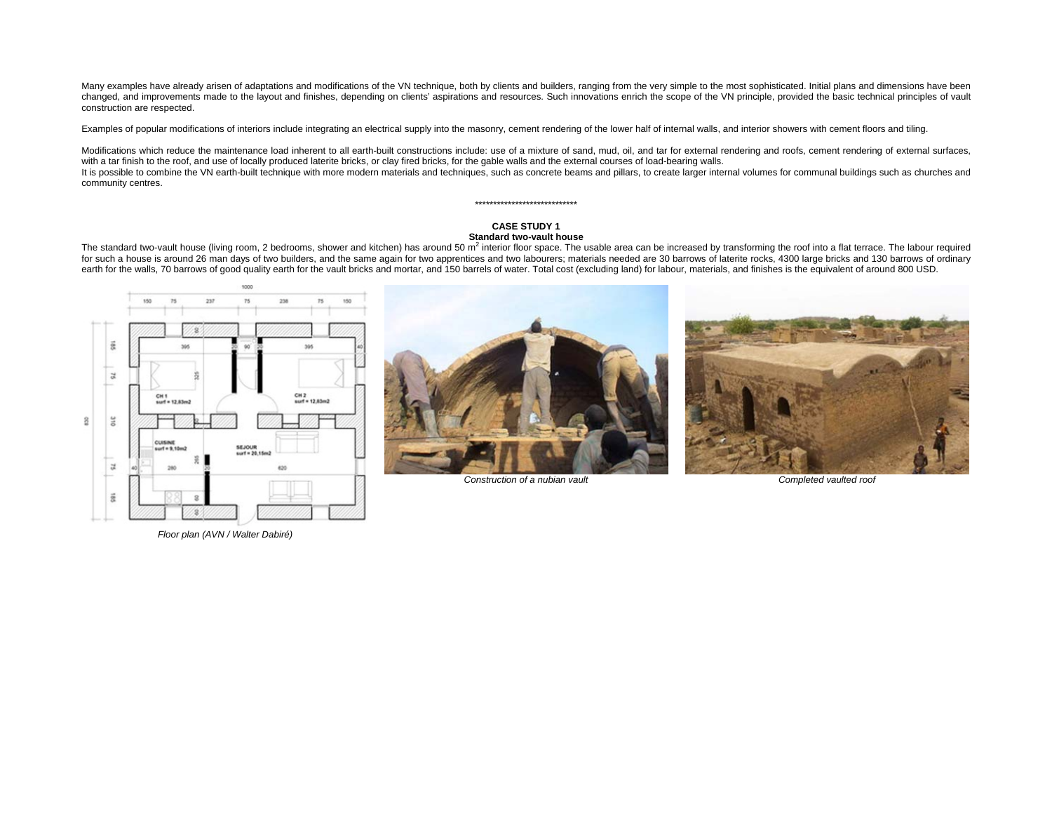Many examples have already arisen of adaptations and modifications of the VN technique, both by clients and builders, ranging from the very simple to the most sophisticated. Initial plans and dimensions have been changed, and improvements made to the layout and finishes, depending on clients' aspirations and resources. Such innovations enrich the scope of the VN principle, provided the basic technical principles of vault construction are respected.

Examples of popular modifications of interiors include integrating an electrical supply into the masonry, cement rendering of the lower half of internal walls, and interior showers with cement floors and tiling.

Modifications which reduce the maintenance load inherent to all earth-built constructions include: use of a mixture of sand, mud, oil, and tar for external rendering and roofs, cement rendering of external surfaces, with a tar finish to the roof, and use of locally produced laterite bricks, or clay fired bricks, for the gable walls and the external courses of load-bearing walls. It is possible to combine the VN earth-built technique with more modern materials and techniques, such as concrete beams and pillars, to create larger internal volumes for communal buildings such as churches and community centres.

# **CASE STUDY 1 Standard two-vault house**

\*\*\*\*\*\*\*\*\*\*\*\*\*\*\*\*\*\*\*\*\*\*\*\*\*\*\*\*

The standard two-vault house (living room, 2 bedrooms, shower and kitchen) has around 50  $m^2$  interior floor space. The usable area can be increased by transforming the roof into a flat terrace. The labour required for such a house is around 26 man days of two builders, and the same again for two apprentices and two labourers; materials needed are 30 barrows of laterite rocks, 4300 large bricks and 130 barrows of ordinary earth for the walls, 70 barrows of good quality earth for the vault bricks and mortar, and 150 barrels of water. Total cost (excluding land) for labour, materials, and finishes is the equivalent of around 800 USD.





*Construction of a nubian vault Completed vaulted roof* 



*Floor plan (AVN / Walter Dabiré)*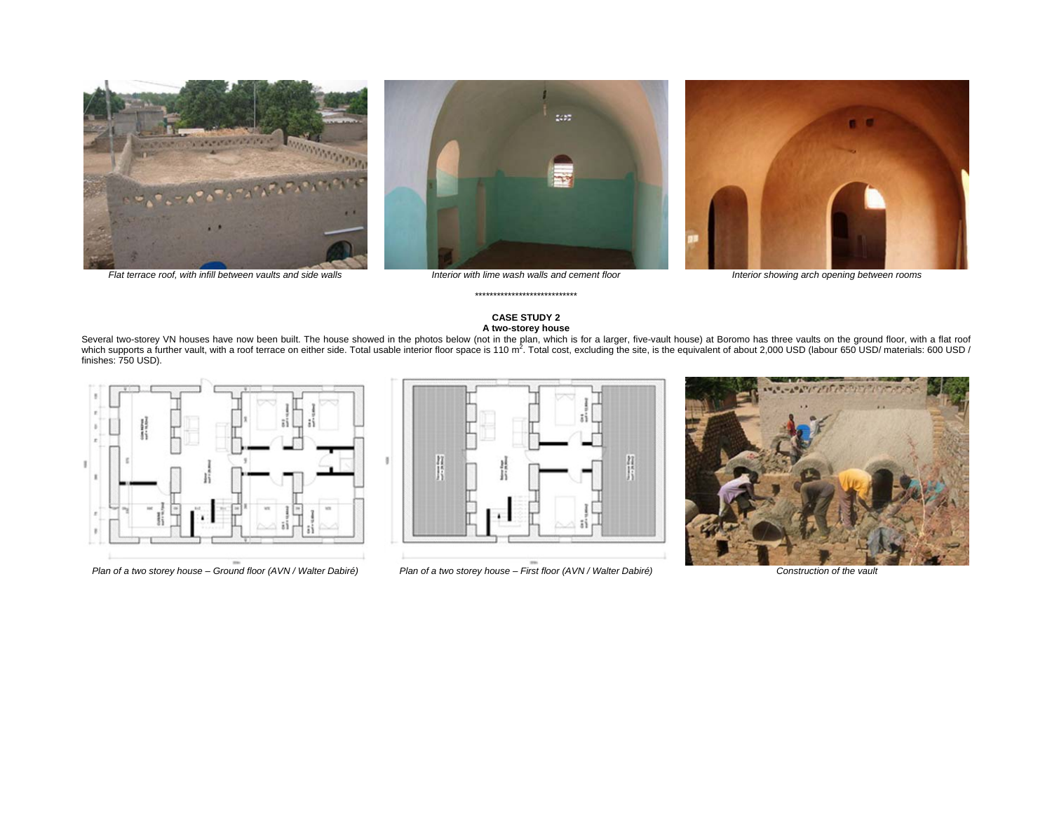





# **CASE STUDY 2 A two-storey house**

\*\*\*\*\*\*\*\*\*\*\*\*\*\*\*\*\*\*\*\*\*\*\*\*\*\*\*\*

Several two-storey VN houses have now been built. The house showed in the photos below (not in the plan, which is for a larger, five-vault house) at Boromo has three vaults on the ground floor, with a flat roof<br>which suppo finishes: 750 USD).





Plan of a two storey house – Ground floor (AVN / Walter Dabiré) Plan of a two storey house – First floor (AVN / Walter Dabiré) Construction of the vault

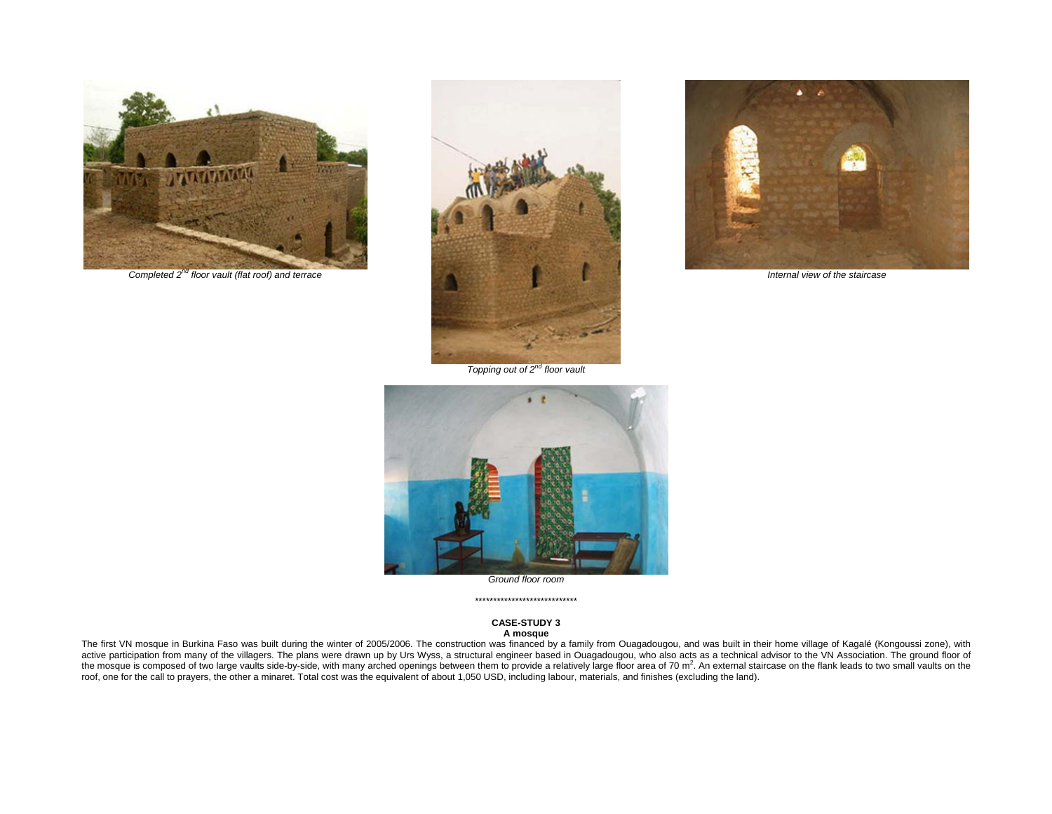

*Completed 2nd floor vault (flat roof) and terrace* 





*Internal view of the staircase*

*Topping out of 2nd floor vault* 



*Ground floor room*  \*\*\*\*\*\*\*\*\*\*\*\*\*\*\*\*\*\*\*\*\*\*\*\*\*\*\*\*

## **CASE-STUDY 3 A mosque**

The first VN mosque in Burkina Faso was built during the winter of 2005/2006. The construction was financed by a family from Ouagadougou, and was built in their home village of Kagalé (Kongoussi zone), with active participation from many of the villagers. The plans were drawn up by Urs Wyss, a structural engineer based in Ouagadougou, who also acts as a technical advisor to the VN Association. The ground floor of the mosque is composed of two large vaults side-by-side, with many arched openings between them to provide a relatively large floor area of 70 m<sup>2</sup>. An external staircase on the flank leads to two small vaults on the roof, one for the call to prayers, the other a minaret. Total cost was the equivalent of about 1,050 USD, including labour, materials, and finishes (excluding the land).